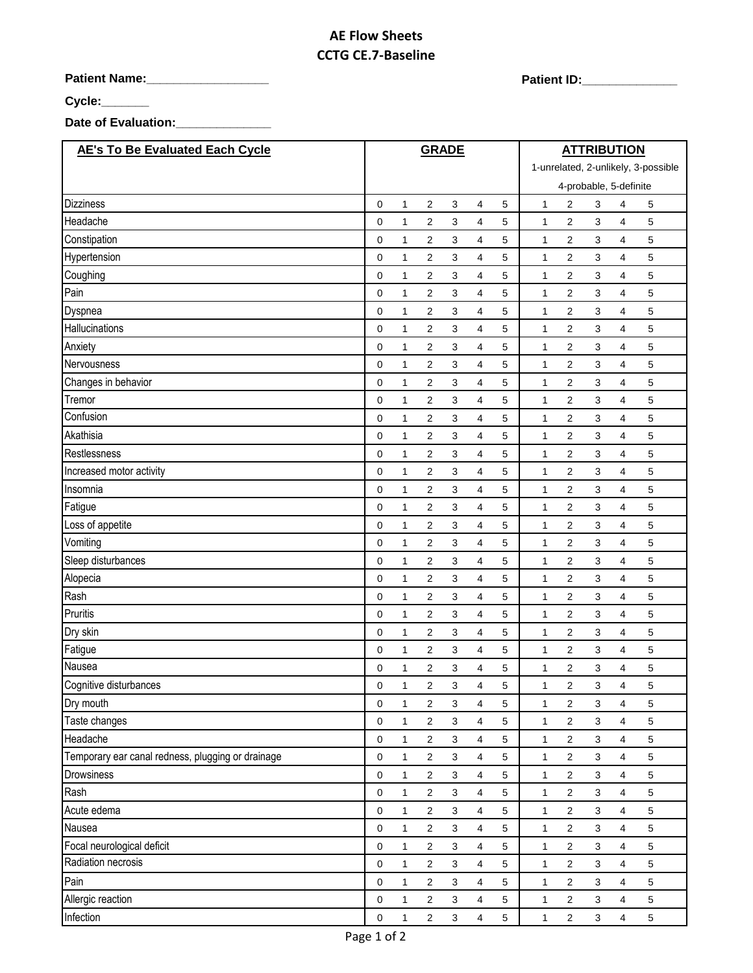# **AE Flow Sheets CCTG CE.7-Baseline**

**Patient Name:\_\_\_\_\_\_\_\_\_\_\_\_\_\_\_\_\_\_ Patient ID:\_\_\_\_\_\_\_\_\_\_\_\_\_\_** 

**Cycle:\_\_\_\_\_\_\_**

**Date of Evaluation:\_\_\_\_\_\_\_\_\_\_\_\_\_\_**

| <b>AE's To Be Evaluated Each Cycle</b>            |             |              | <b>GRADE</b>     |                           |                         |   | <b>ATTRIBUTION</b>                  |                |                           |                         |             |  |
|---------------------------------------------------|-------------|--------------|------------------|---------------------------|-------------------------|---|-------------------------------------|----------------|---------------------------|-------------------------|-------------|--|
|                                                   |             |              |                  |                           |                         |   | 1-unrelated, 2-unlikely, 3-possible |                |                           |                         |             |  |
|                                                   |             |              |                  |                           |                         |   |                                     |                | 4-probable, 5-definite    |                         |             |  |
| <b>Dizziness</b>                                  | $\mathbf 0$ | 1            | 2                | 3                         | 4                       | 5 | $\mathbf{1}$                        | 2              | 3                         | 4                       | 5           |  |
| Headache                                          | $\mathbf 0$ | $\mathbf{1}$ | 2                | 3                         | 4                       | 5 | $\mathbf{1}$                        | 2              | 3                         | 4                       | 5           |  |
| Constipation                                      | 0           | 1            | 2                | 3                         | 4                       | 5 | 1                                   | 2              | 3                         | 4                       | 5           |  |
| Hypertension                                      | 0           | 1            | 2                | 3                         | 4                       | 5 | 1                                   | 2              | 3                         | 4                       | 5           |  |
| Coughing                                          | $\mathbf 0$ | 1            | 2                | 3                         | 4                       | 5 | $\mathbf{1}$                        | 2              | 3                         | 4                       | 5           |  |
| Pain                                              | 0           | 1            | $\overline{c}$   | 3                         | 4                       | 5 | $\mathbf{1}$                        | 2              | 3                         | 4                       | 5           |  |
| Dyspnea                                           | 0           | $\mathbf{1}$ | $\overline{c}$   | 3                         | 4                       | 5 | $\mathbf{1}$                        | 2              | 3                         | 4                       | 5           |  |
| Hallucinations                                    | $\mathbf 0$ | 1            | $\overline{2}$   | 3                         | 4                       | 5 | $\mathbf{1}$                        | 2              | 3                         | 4                       | 5           |  |
| Anxiety                                           | 0           | $\mathbf{1}$ | $\overline{2}$   | 3                         | 4                       | 5 | 1                                   | 2              | 3                         | 4                       | 5           |  |
| Nervousness                                       | 0           | 1            | 2                | 3                         | 4                       | 5 | 1                                   | 2              | 3                         | 4                       | 5           |  |
| Changes in behavior                               | $\mathbf 0$ | 1            | $\overline{2}$   | 3                         | 4                       | 5 | $\mathbf{1}$                        | 2              | 3                         | 4                       | 5           |  |
| Tremor                                            | 0           | 1            | 2                | 3                         | 4                       | 5 | 1                                   | 2              | 3                         | 4                       | 5           |  |
| Confusion                                         | 0           | 1            | 2                | 3                         | 4                       | 5 | $\mathbf{1}$                        | 2              | 3                         | 4                       | 5           |  |
| Akathisia                                         | 0           | 1            | 2                | 3                         | 4                       | 5 | 1                                   | 2              | 3                         | 4                       | 5           |  |
| Restlessness                                      | 0           | $\mathbf{1}$ | 2                | 3                         | 4                       | 5 | 1                                   | 2              | 3                         | 4                       | 5           |  |
| Increased motor activity                          | 0           | $\mathbf{1}$ | $\overline{2}$   | 3                         | 4                       | 5 | $\mathbf{1}$                        | 2              | 3                         | 4                       | 5           |  |
| Insomnia                                          | 0           | 1            | 2                | 3                         | 4                       | 5 | 1                                   | 2              | 3                         | 4                       | 5           |  |
| Fatigue                                           | $\mathbf 0$ | 1            | $\boldsymbol{2}$ | 3                         | 4                       | 5 | $\mathbf{1}$                        | 2              | 3                         | 4                       | 5           |  |
| Loss of appetite                                  | 0           | 1            | 2                | 3                         | 4                       | 5 | 1                                   | 2              | 3                         | 4                       | 5           |  |
| Vomiting                                          | $\mathbf 0$ | 1            | $\overline{2}$   | 3                         | 4                       | 5 | $\mathbf{1}$                        | 2              | 3                         | 4                       | 5           |  |
| Sleep disturbances                                | 0           | $\mathbf{1}$ | 2                | 3                         | 4                       | 5 | $\mathbf{1}$                        | 2              | 3                         | 4                       | 5           |  |
| Alopecia                                          | 0           | 1            | 2                | 3                         | 4                       | 5 | 1                                   | 2              | 3                         | 4                       | 5           |  |
| Rash                                              | 0           | 1            | 2                | 3                         | 4                       | 5 | 1                                   | 2              | 3                         | 4                       | 5           |  |
| Pruritis                                          | 0           | 1            | 2                | 3                         | 4                       | 5 | $\mathbf{1}$                        | 2              | 3                         | 4                       | 5           |  |
| Dry skin                                          | $\mathbf 0$ | 1            | 2                | 3                         | 4                       | 5 | $\mathbf{1}$                        | 2              | 3                         | 4                       | 5           |  |
| Fatigue                                           | 0           | 1            | 2                | 3                         | 4                       | 5 | 1                                   | 2              | 3                         | 4                       | 5           |  |
| Nausea                                            | $\mathbf 0$ | 1            | 2                | 3                         | 4                       | 5 | $\mathbf{1}$                        | 2              | 3                         | 4                       | 5           |  |
| Cognitive disturbances                            | 0           | 1            | 2                | 3                         | 4                       | 5 | 1                                   | 2              | 3                         | 4                       | 5           |  |
| Dry mouth                                         | 0           | $\mathbf{1}$ | $\overline{c}$   | 3                         | 4                       | 5 | $\mathbf{1}$                        | $\overline{c}$ | 3                         | $\overline{4}$          | 5           |  |
| Taste changes                                     | $\pmb{0}$   | $\mathbf{1}$ | $\sqrt{2}$       | $\mathbf{3}$              | $\overline{\mathbf{4}}$ | 5 | $\mathbf{1}$                        | $\sqrt{2}$     | 3                         | $\overline{4}$          | 5           |  |
| Headache                                          | 0           | 1            | $\overline{2}$   | 3                         | 4                       | 5 | 1                                   | $\overline{2}$ | $\ensuremath{\mathsf{3}}$ | $\overline{4}$          | $\,$ 5 $\,$ |  |
| Temporary ear canal redness, plugging or drainage | $\pmb{0}$   | $\mathbf{1}$ | $\overline{2}$   | 3                         | $\overline{4}$          | 5 | $\mathbf 1$                         | $\sqrt{2}$     | $\mathsf 3$               | $\overline{4}$          | 5           |  |
| Drowsiness                                        | 0           | $\mathbf{1}$ | $\sqrt{2}$       | 3                         | $\overline{4}$          | 5 | $\mathbf{1}$                        | 2              | 3                         | $\overline{4}$          | 5           |  |
| Rash                                              | $\pmb{0}$   | 1            | $\overline{2}$   | $\mathbf{3}$              | $\overline{4}$          | 5 | $\mathbf 1$                         | $\overline{c}$ | $\mathsf 3$               | $\overline{4}$          | 5           |  |
| Acute edema                                       | 0           | $\mathbf{1}$ | 2                | 3                         | $\overline{4}$          | 5 | $\mathbf{1}$                        | 2              | 3                         | $\overline{4}$          | 5           |  |
| Nausea                                            | 0           | $\mathbf{1}$ | $\overline{c}$   | $\mathbf{3}$              | $\overline{\mathbf{4}}$ | 5 | $\mathbf 1$                         | $\sqrt{2}$     | 3                         | $\overline{\mathbf{4}}$ | $\mathbf 5$ |  |
| Focal neurological deficit                        | 0           | $\mathbf{1}$ | $\overline{2}$   | $\mathbf{3}$              | $\overline{4}$          | 5 | $\mathbf{1}$                        | $\overline{2}$ | $\ensuremath{\mathsf{3}}$ | $\overline{\mathbf{4}}$ | 5           |  |
| Radiation necrosis                                | 0           | $\mathbf{1}$ | $\overline{2}$   | 3                         | $\overline{\mathbf{4}}$ | 5 | $\mathbf 1$                         | $\overline{c}$ | $\ensuremath{\mathsf{3}}$ | 4                       | 5           |  |
| Pain                                              | 0           | $\mathbf{1}$ | $\sqrt{2}$       | 3                         | 4                       | 5 | $\mathbf{1}$                        | $\overline{c}$ | $\mathsf 3$               | $\overline{4}$          | 5           |  |
| Allergic reaction                                 | $\pmb{0}$   | $\mathbf{1}$ | $\overline{2}$   | 3                         | $\overline{\mathbf{4}}$ | 5 | $\mathbf{1}$                        | $\overline{c}$ | 3                         | $\overline{4}$          | 5           |  |
| Infection                                         | $\pmb{0}$   | $\mathbf{1}$ | $\overline{2}$   | $\ensuremath{\mathsf{3}}$ | 4                       | 5 | $\mathbf{1}$                        | $\overline{2}$ | $\ensuremath{\mathsf{3}}$ | 4                       | $\,$ 5 $\,$ |  |